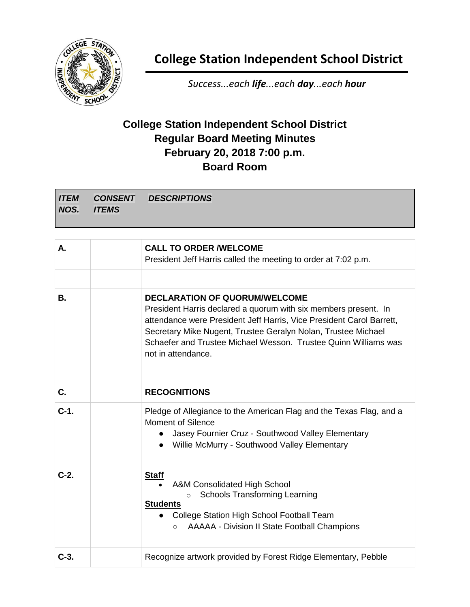

**College Station Independent School District**

*Success...each life...each day...each hour*

## **College Station Independent School District Regular Board Meeting Minutes February 20, 2018 7:00 p.m. Board Room**

| <b>ITEM</b> |               | <b>CONSENT DESCRIPTIONS</b> |  |  |
|-------------|---------------|-----------------------------|--|--|
| NOS.        | <b>TITEMS</b> |                             |  |  |
|             |               |                             |  |  |

| А.          | <b>CALL TO ORDER /WELCOME</b><br>President Jeff Harris called the meeting to order at 7:02 p.m.                                                                                                                                                                                                                                           |
|-------------|-------------------------------------------------------------------------------------------------------------------------------------------------------------------------------------------------------------------------------------------------------------------------------------------------------------------------------------------|
| В.          | <b>DECLARATION OF QUORUM/WELCOME</b><br>President Harris declared a quorum with six members present. In<br>attendance were President Jeff Harris, Vice President Carol Barrett,<br>Secretary Mike Nugent, Trustee Geralyn Nolan, Trustee Michael<br>Schaefer and Trustee Michael Wesson. Trustee Quinn Williams was<br>not in attendance. |
| $C_{\cdot}$ | <b>RECOGNITIONS</b>                                                                                                                                                                                                                                                                                                                       |
| $C-1.$      | Pledge of Allegiance to the American Flag and the Texas Flag, and a<br><b>Moment of Silence</b><br>Jasey Fournier Cruz - Southwood Valley Elementary<br>Willie McMurry - Southwood Valley Elementary                                                                                                                                      |
| $C-2$ .     | <b>Staff</b><br>A&M Consolidated High School<br><b>Schools Transforming Learning</b><br>$\Omega$<br><b>Students</b><br>College Station High School Football Team<br><b>AAAAA - Division II State Football Champions</b><br>$\circ$                                                                                                        |
| $C-3.$      | Recognize artwork provided by Forest Ridge Elementary, Pebble                                                                                                                                                                                                                                                                             |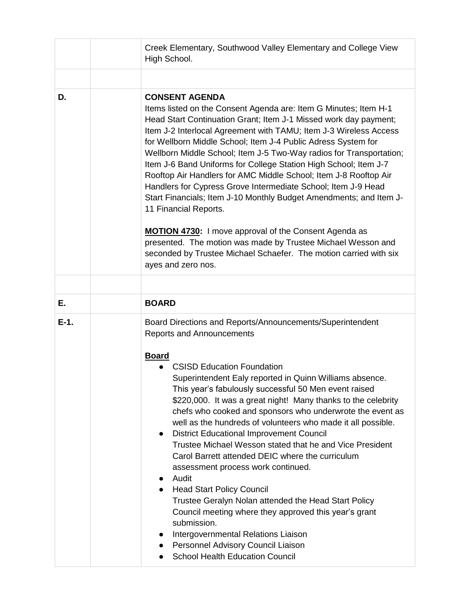|        | Creek Elementary, Southwood Valley Elementary and College View<br>High School.                                                                                                                                                                                                                                                                                                                                                                                                                                                                                                                                                                                                                                                                                                                                                                                                                                                                                                                 |  |
|--------|------------------------------------------------------------------------------------------------------------------------------------------------------------------------------------------------------------------------------------------------------------------------------------------------------------------------------------------------------------------------------------------------------------------------------------------------------------------------------------------------------------------------------------------------------------------------------------------------------------------------------------------------------------------------------------------------------------------------------------------------------------------------------------------------------------------------------------------------------------------------------------------------------------------------------------------------------------------------------------------------|--|
|        |                                                                                                                                                                                                                                                                                                                                                                                                                                                                                                                                                                                                                                                                                                                                                                                                                                                                                                                                                                                                |  |
| D.     | <b>CONSENT AGENDA</b><br>Items listed on the Consent Agenda are: Item G Minutes; Item H-1<br>Head Start Continuation Grant; Item J-1 Missed work day payment;<br>Item J-2 Interlocal Agreement with TAMU; Item J-3 Wireless Access<br>for Wellborn Middle School; Item J-4 Public Adress System for<br>Wellborn Middle School; Item J-5 Two-Way radios for Transportation;<br>Item J-6 Band Uniforms for College Station High School; Item J-7<br>Rooftop Air Handlers for AMC Middle School; Item J-8 Rooftop Air<br>Handlers for Cypress Grove Intermediate School; Item J-9 Head<br>Start Financials; Item J-10 Monthly Budget Amendments; and Item J-<br>11 Financial Reports.<br><b>MOTION 4730:</b> I move approval of the Consent Agenda as<br>presented. The motion was made by Trustee Michael Wesson and<br>seconded by Trustee Michael Schaefer. The motion carried with six                                                                                                        |  |
|        | ayes and zero nos.                                                                                                                                                                                                                                                                                                                                                                                                                                                                                                                                                                                                                                                                                                                                                                                                                                                                                                                                                                             |  |
|        |                                                                                                                                                                                                                                                                                                                                                                                                                                                                                                                                                                                                                                                                                                                                                                                                                                                                                                                                                                                                |  |
| Е.     | <b>BOARD</b>                                                                                                                                                                                                                                                                                                                                                                                                                                                                                                                                                                                                                                                                                                                                                                                                                                                                                                                                                                                   |  |
| $E-1.$ | Board Directions and Reports/Announcements/Superintendent<br><b>Reports and Announcements</b><br><b>Board</b><br><b>CSISD Education Foundation</b><br>Superintendent Ealy reported in Quinn Williams absence.<br>This year's fabulously successful 50 Men event raised<br>\$220,000. It was a great night! Many thanks to the celebrity<br>chefs who cooked and sponsors who underwrote the event as<br>well as the hundreds of volunteers who made it all possible.<br><b>District Educational Improvement Council</b><br>$\bullet$<br>Trustee Michael Wesson stated that he and Vice President<br>Carol Barrett attended DEIC where the curriculum<br>assessment process work continued.<br>Audit<br><b>Head Start Policy Council</b><br>Trustee Geralyn Nolan attended the Head Start Policy<br>Council meeting where they approved this year's grant<br>submission.<br>Intergovernmental Relations Liaison<br>Personnel Advisory Council Liaison<br><b>School Health Education Council</b> |  |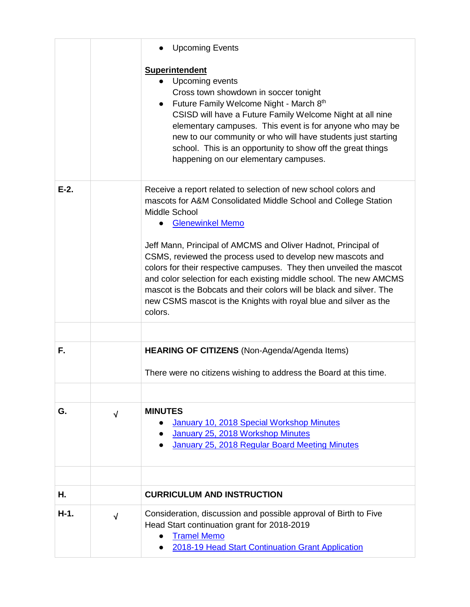|         |            | <b>Upcoming Events</b>                                                                                                                                                                                                                                                                                                                                                                                                          |
|---------|------------|---------------------------------------------------------------------------------------------------------------------------------------------------------------------------------------------------------------------------------------------------------------------------------------------------------------------------------------------------------------------------------------------------------------------------------|
|         |            | <b>Superintendent</b><br>Upcoming events<br>Cross town showdown in soccer tonight<br>Future Family Welcome Night - March 8th<br>CSISD will have a Future Family Welcome Night at all nine<br>elementary campuses. This event is for anyone who may be<br>new to our community or who will have students just starting<br>school. This is an opportunity to show off the great things<br>happening on our elementary campuses.   |
| $E-2$ . |            | Receive a report related to selection of new school colors and<br>mascots for A&M Consolidated Middle School and College Station<br>Middle School<br><b>Glenewinkel Memo</b>                                                                                                                                                                                                                                                    |
|         |            | Jeff Mann, Principal of AMCMS and Oliver Hadnot, Principal of<br>CSMS, reviewed the process used to develop new mascots and<br>colors for their respective campuses. They then unveiled the mascot<br>and color selection for each existing middle school. The new AMCMS<br>mascot is the Bobcats and their colors will be black and silver. The<br>new CSMS mascot is the Knights with royal blue and silver as the<br>colors. |
|         |            |                                                                                                                                                                                                                                                                                                                                                                                                                                 |
| F.      |            | HEARING OF CITIZENS (Non-Agenda/Agenda Items)                                                                                                                                                                                                                                                                                                                                                                                   |
|         |            | There were no citizens wishing to address the Board at this time.                                                                                                                                                                                                                                                                                                                                                               |
| G.      | $\sqrt{ }$ | <b>MINUTES</b><br>January 10, 2018 Special Workshop Minutes<br>January 25, 2018 Workshop Minutes<br>January 25, 2018 Regular Board Meeting Minutes                                                                                                                                                                                                                                                                              |
|         |            |                                                                                                                                                                                                                                                                                                                                                                                                                                 |
|         |            |                                                                                                                                                                                                                                                                                                                                                                                                                                 |
| Н.      |            | <b>CURRICULUM AND INSTRUCTION</b>                                                                                                                                                                                                                                                                                                                                                                                               |
| $H-1.$  | $\sqrt{ }$ | Consideration, discussion and possible approval of Birth to Five<br>Head Start continuation grant for 2018-2019<br><b>Tramel Memo</b><br>2018-19 Head Start Continuation Grant Application                                                                                                                                                                                                                                      |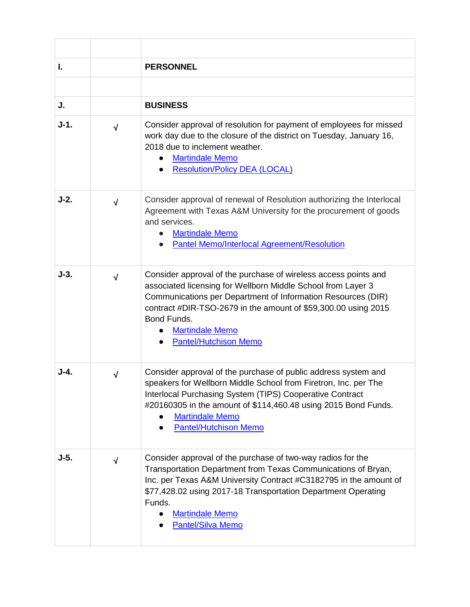| L.     |            | <b>PERSONNEL</b>                                                                                                                                                                                                                                                                                                                           |
|--------|------------|--------------------------------------------------------------------------------------------------------------------------------------------------------------------------------------------------------------------------------------------------------------------------------------------------------------------------------------------|
| J.     |            | <b>BUSINESS</b>                                                                                                                                                                                                                                                                                                                            |
| $J-1.$ | $\sqrt{ }$ | Consider approval of resolution for payment of employees for missed<br>work day due to the closure of the district on Tuesday, January 16,<br>2018 due to inclement weather.<br><b>Martindale Memo</b><br><b>Resolution/Policy DEA (LOCAL)</b>                                                                                             |
| $J-2.$ | $\sqrt{ }$ | Consider approval of renewal of Resolution authorizing the Interlocal<br>Agreement with Texas A&M University for the procurement of goods<br>and services.<br><b>Martindale Memo</b><br><b>Pantel Memo/Interlocal Agreement/Resolution</b>                                                                                                 |
| $J-3.$ | $\sqrt{ }$ | Consider approval of the purchase of wireless access points and<br>associated licensing for Wellborn Middle School from Layer 3<br>Communications per Department of Information Resources (DIR)<br>contract #DIR-TSO-2679 in the amount of \$59,300.00 using 2015<br>Bond Funds.<br><b>Martindale Memo</b><br><b>Pantel/Hutchison Memo</b> |
| $J-4.$ | $\sqrt{ }$ | Consider approval of the purchase of public address system and<br>speakers for Wellborn Middle School from Firetron, Inc. per The<br>Interlocal Purchasing System (TIPS) Cooperative Contract<br>#20160305 in the amount of \$114,460.48 using 2015 Bond Funds.<br><b>Martindale Memo</b><br><b>Pantel/Hutchison Memo</b>                  |
| $J-5.$ | $\sqrt{ }$ | Consider approval of the purchase of two-way radios for the<br>Transportation Department from Texas Communications of Bryan,<br>Inc. per Texas A&M University Contract #C3182795 in the amount of<br>\$77,428.02 using 2017-18 Transportation Department Operating<br>Funds.<br><b>Martindale Memo</b><br><b>Pantel/Silva Memo</b>         |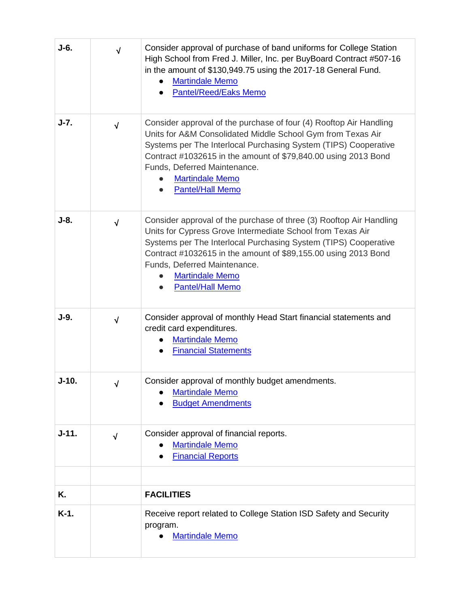| J-6.      | $\sqrt{ }$ | Consider approval of purchase of band uniforms for College Station<br>High School from Fred J. Miller, Inc. per BuyBoard Contract #507-16<br>in the amount of \$130,949.75 using the 2017-18 General Fund.<br><b>Martindale Memo</b><br><b>Pantel/Reed/Eaks Memo</b>                                                                                        |
|-----------|------------|-------------------------------------------------------------------------------------------------------------------------------------------------------------------------------------------------------------------------------------------------------------------------------------------------------------------------------------------------------------|
| $J-7.$    | $\sqrt{}$  | Consider approval of the purchase of four (4) Rooftop Air Handling<br>Units for A&M Consolidated Middle School Gym from Texas Air<br>Systems per The Interlocal Purchasing System (TIPS) Cooperative<br>Contract #1032615 in the amount of \$79,840.00 using 2013 Bond<br>Funds, Deferred Maintenance.<br><b>Martindale Memo</b><br><b>Pantel/Hall Memo</b> |
| J-8.      | $\sqrt{ }$ | Consider approval of the purchase of three (3) Rooftop Air Handling<br>Units for Cypress Grove Intermediate School from Texas Air<br>Systems per The Interlocal Purchasing System (TIPS) Cooperative<br>Contract #1032615 in the amount of \$89,155.00 using 2013 Bond<br>Funds, Deferred Maintenance.<br><b>Martindale Memo</b><br><b>Pantel/Hall Memo</b> |
| $J-9.$    | $\sqrt{ }$ | Consider approval of monthly Head Start financial statements and<br>credit card expenditures.<br><b>Martindale Memo</b><br><b>Financial Statements</b>                                                                                                                                                                                                      |
| J-10.     |            | Consider approval of monthly budget amendments.<br><b>Martindale Memo</b><br><b>Budget Amendments</b>                                                                                                                                                                                                                                                       |
| $J - 11.$ | $\sqrt{2}$ | Consider approval of financial reports.<br><b>Martindale Memo</b><br><b>Financial Reports</b>                                                                                                                                                                                                                                                               |
| Κ.        |            | <b>FACILITIES</b>                                                                                                                                                                                                                                                                                                                                           |
| K-1.      |            | Receive report related to College Station ISD Safety and Security<br>program.<br><b>Martindale Memo</b>                                                                                                                                                                                                                                                     |